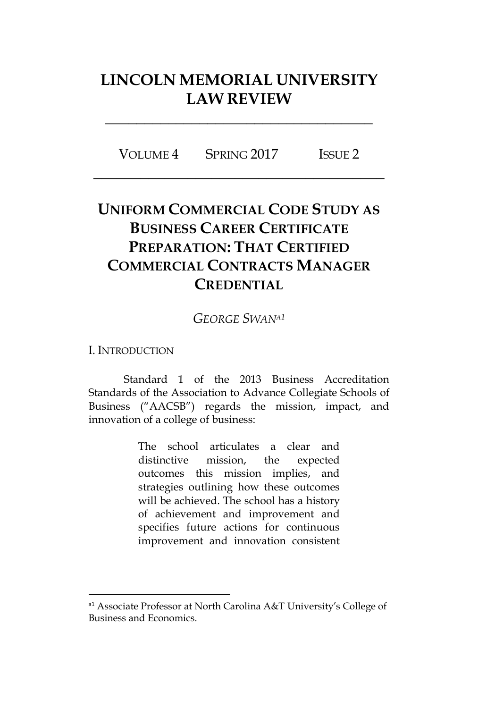# **LINCOLN MEMORIAL UNIVERSITY LAW REVIEW**

**\_\_\_\_\_\_\_\_\_\_\_\_\_\_\_\_\_\_\_\_\_\_\_\_\_\_\_\_\_\_\_\_\_\_**

VOLUME 4 SPRING 2017 ISSUE 2 **\_\_\_\_\_\_\_\_\_\_\_\_\_\_\_\_\_\_\_\_\_\_\_\_\_\_\_\_\_\_\_\_\_\_\_\_\_**

# **UNIFORM COMMERCIAL CODE STUDY AS BUSINESS CAREER CERTIFICATE PREPARATION: THAT CERTIFIED COMMERCIAL CONTRACTS MANAGER CREDENTIAL**

*GEORGE SWANA<sup>1</sup>*

I. INTRODUCTION

 $\overline{a}$ 

Standard 1 of the 2013 Business Accreditation Standards of the Association to Advance Collegiate Schools of Business ("AACSB") regards the mission, impact, and innovation of a college of business:

> The school articulates a clear and distinctive mission, the expected outcomes this mission implies, and strategies outlining how these outcomes will be achieved. The school has a history of achievement and improvement and specifies future actions for continuous improvement and innovation consistent

<sup>&</sup>lt;sup>a1</sup> Associate Professor at North Carolina A&T University's College of Business and Economics.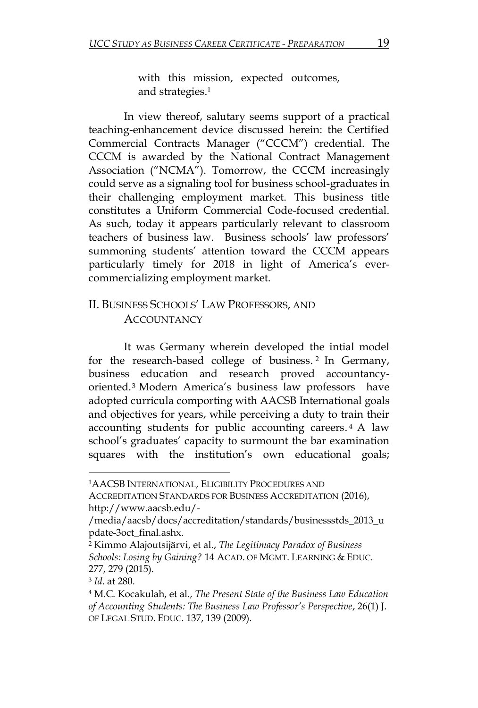with this mission, expected outcomes, and strategies. 1

In view thereof, salutary seems support of a practical teaching-enhancement device discussed herein: the Certified Commercial Contracts Manager ("CCCM") credential. The CCCM is awarded by the National Contract Management Association ("NCMA"). Tomorrow, the CCCM increasingly could serve as a signaling tool for business school-graduates in their challenging employment market. This business title constitutes a Uniform Commercial Code-focused credential. As such, today it appears particularly relevant to classroom teachers of business law. Business schools' law professors' summoning students' attention toward the CCCM appears particularly timely for 2018 in light of America's evercommercializing employment market.

## II. BUSINESS SCHOOLS' LAW PROFESSORS, AND **ACCOUNTANCY**

It was Germany wherein developed the intial model for the research-based college of business. <sup>2</sup> In Germany, business education and research proved accountancyoriented.<sup>3</sup> Modern America's business law professors have adopted curricula comporting with AACSB International goals and objectives for years, while perceiving a duty to train their accounting students for public accounting careers. <sup>4</sup> A law school's graduates' capacity to surmount the bar examination squares with the institution's own educational goals;

ACCREDITATION STANDARDS FOR BUSINESS ACCREDITATION (2016), http://www.aacsb.edu/-

3 *Id*. at 280.

l

<sup>1</sup>AACSB INTERNATIONAL, ELIGIBILITY PROCEDURES AND

<sup>/</sup>media/aacsb/docs/accreditation/standards/businessstds\_2013\_u pdate-3oct\_final.ashx.

<sup>2</sup> Kimmo Alajoutsijärvi, et al., *The Legitimacy Paradox of Business Schools: Losing by Gaining?* 14 ACAD. OF MGMT. LEARNING & EDUC. 277, 279 (2015).

<sup>4</sup> M.C. Kocakulah, et al., *The Present State of the Business Law Education of Accounting Students: The Business Law Professor's Perspective*, 26(1) J. OF LEGAL STUD. EDUC. 137, 139 (2009).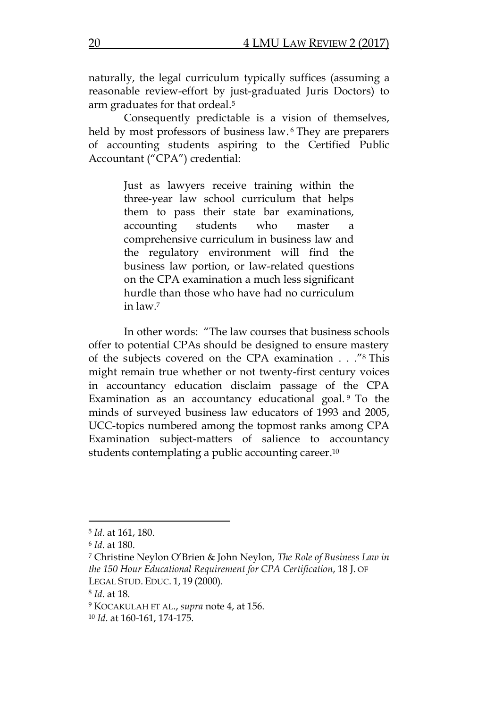naturally, the legal curriculum typically suffices (assuming a reasonable review-effort by just-graduated Juris Doctors) to arm graduates for that ordeal. 5

Consequently predictable is a vision of themselves, held by most professors of business law.<sup>6</sup> They are preparers of accounting students aspiring to the Certified Public Accountant ("CPA") credential:

> Just as lawyers receive training within the three-year law school curriculum that helps them to pass their state bar examinations, accounting students who master a comprehensive curriculum in business law and the regulatory environment will find the business law portion, or law-related questions on the CPA examination a much less significant hurdle than those who have had no curriculum in law.<sup>7</sup>

In other words: "The law courses that business schools offer to potential CPAs should be designed to ensure mastery of the subjects covered on the CPA examination . . ."<sup>8</sup> This might remain true whether or not twenty-first century voices in accountancy education disclaim passage of the CPA Examination as an accountancy educational goal. <sup>9</sup> To the minds of surveyed business law educators of 1993 and 2005, UCC-topics numbered among the topmost ranks among CPA Examination subject-matters of salience to accountancy students contemplating a public accounting career. 10

 $\overline{a}$ 

8 *Id*. at 18.

<sup>5</sup> *Id*. at 161, 180.

<sup>6</sup> *Id*. at 180.

<sup>7</sup> Christine Neylon O'Brien & John Neylon, *The Role of Business Law in the 150 Hour Educational Requirement for CPA Certification*, 18 J. OF LEGAL STUD. EDUC. 1, 19 (2000).

<sup>9</sup> KOCAKULAH ET AL., *supra* note 4, at 156.

<sup>10</sup> *Id*. at 160-161, 174-175.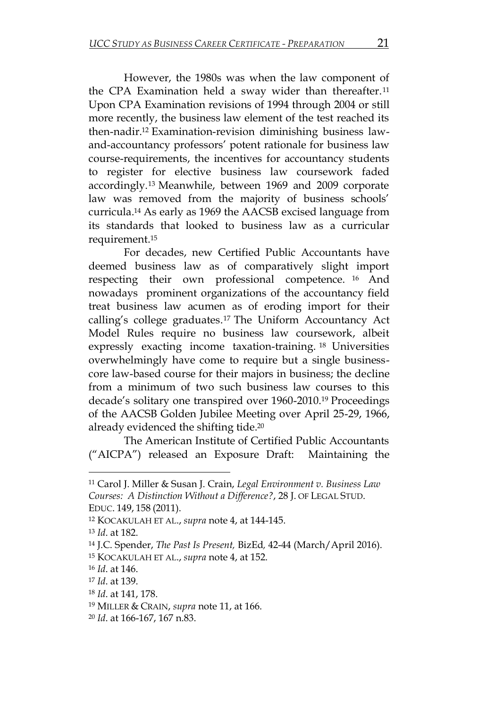However, the 1980s was when the law component of the CPA Examination held a sway wider than thereafter. 11 Upon CPA Examination revisions of 1994 through 2004 or still more recently, the business law element of the test reached its then-nadir. <sup>12</sup> Examination-revision diminishing business lawand-accountancy professors' potent rationale for business law course-requirements, the incentives for accountancy students to register for elective business law coursework faded accordingly. <sup>13</sup> Meanwhile, between 1969 and 2009 corporate law was removed from the majority of business schools' curricula. <sup>14</sup> As early as 1969 the AACSB excised language from its standards that looked to business law as a curricular requirement. 15

For decades, new Certified Public Accountants have deemed business law as of comparatively slight import respecting their own professional competence. <sup>16</sup> And nowadays prominent organizations of the accountancy field treat business law acumen as of eroding import for their calling's college graduates. <sup>17</sup> The Uniform Accountancy Act Model Rules require no business law coursework, albeit expressly exacting income taxation-training. <sup>18</sup> Universities overwhelmingly have come to require but a single businesscore law-based course for their majors in business; the decline from a minimum of two such business law courses to this decade's solitary one transpired over 1960-2010. <sup>19</sup> Proceedings of the AACSB Golden Jubilee Meeting over April 25-29, 1966, already evidenced the shifting tide. 20

The American Institute of Certified Public Accountants ("AICPA") released an Exposure Draft: Maintaining the

l

<sup>11</sup> Carol J. Miller & Susan J. Crain, *Legal Environment v. Business Law Courses: A Distinction Without a Difference?*, 28 J. OF LEGAL STUD. EDUC. 149, 158 (2011).

<sup>12</sup> KOCAKULAH ET AL., *supra* note 4, at 144-145.

<sup>13</sup> *Id*. at 182.

<sup>14</sup> J.C. Spender, *The Past Is Present,* BizEd*,* 42-44 (March/April 2016).

<sup>15</sup> KOCAKULAH ET AL., *supra* note 4, at 152.

<sup>16</sup> *Id*. at 146.

<sup>17</sup> *Id*. at 139.

<sup>18</sup> *Id*. at 141, 178.

<sup>19</sup> MILLER & CRAIN, *supra* note 11, at 166.

<sup>20</sup> *Id*. at 166-167, 167 n.83.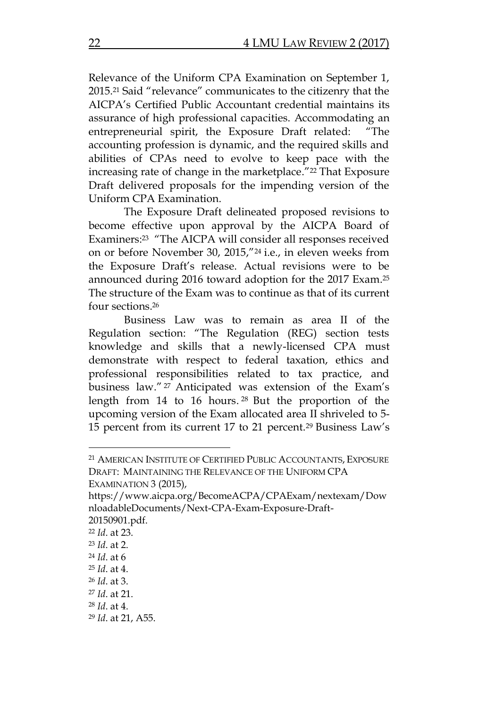Relevance of the Uniform CPA Examination on September 1, 2015.<sup>21</sup> Said "relevance" communicates to the citizenry that the AICPA's Certified Public Accountant credential maintains its assurance of high professional capacities. Accommodating an entrepreneurial spirit, the Exposure Draft related: "The accounting profession is dynamic, and the required skills and abilities of CPAs need to evolve to keep pace with the increasing rate of change in the marketplace."<sup>22</sup> That Exposure Draft delivered proposals for the impending version of the Uniform CPA Examination.

The Exposure Draft delineated proposed revisions to become effective upon approval by the AICPA Board of Examiners: <sup>23</sup> "The AICPA will consider all responses received on or before November 30, 2015,"<sup>24</sup> i.e., in eleven weeks from the Exposure Draft's release. Actual revisions were to be announced during 2016 toward adoption for the 2017 Exam. 25 The structure of the Exam was to continue as that of its current four sections. 26

Business Law was to remain as area II of the Regulation section: "The Regulation (REG) section tests knowledge and skills that a newly-licensed CPA must demonstrate with respect to federal taxation, ethics and professional responsibilities related to tax practice, and business law." <sup>27</sup> Anticipated was extension of the Exam's length from 14 to 16 hours. <sup>28</sup> But the proportion of the upcoming version of the Exam allocated area II shriveled to 5- 15 percent from its current 17 to 21 percent. <sup>29</sup> Business Law's

<sup>21</sup> AMERICAN INSTITUTE OF CERTIFIED PUBLIC ACCOUNTANTS, EXPOSURE DRAFT: MAINTAINING THE RELEVANCE OF THE UNIFORM CPA

EXAMINATION 3 (2015),

https://www.aicpa.org/BecomeACPA/CPAExam/nextexam/Dow nloadableDocuments/Next-CPA-Exam-Exposure-Draft-20150901.pdf.

<sup>22</sup> *Id*. at 23.

<sup>23</sup> *Id*. at 2.

<sup>24</sup> *Id*. at 6

<sup>25</sup> *Id*. at 4.

<sup>26</sup> *Id*. at 3.

<sup>27</sup> *Id*. at 21.

<sup>28</sup> *Id*. at 4.

<sup>29</sup> *Id*. at 21, A55.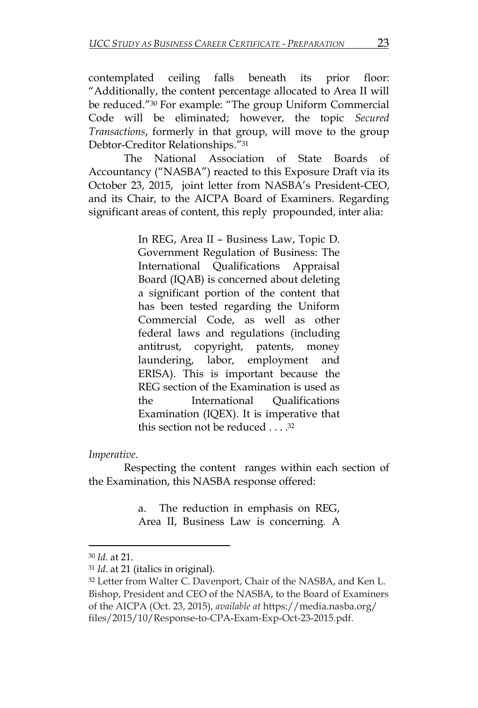contemplated ceiling falls beneath its prior floor: "Additionally, the content percentage allocated to Area II will be reduced."<sup>30</sup> For example: "The group Uniform Commercial Code will be eliminated; however, the topic *Secured Transactions*, formerly in that group, will move to the group Debtor-Creditor Relationships."<sup>31</sup>

The National Association of State Boards of Accountancy ("NASBA") reacted to this Exposure Draft via its October 23, 2015, joint letter from NASBA's President-CEO, and its Chair, to the AICPA Board of Examiners. Regarding significant areas of content, this reply propounded, inter alia:

> In REG, Area II – Business Law, Topic D. Government Regulation of Business: The International Qualifications Appraisal Board (IQAB) is concerned about deleting a significant portion of the content that has been tested regarding the Uniform Commercial Code, as well as other federal laws and regulations (including antitrust, copyright, patents, money laundering, labor, employment and ERISA). This is important because the REG section of the Examination is used as the International Qualifications Examination (IQEX). It is imperative that this section not be reduced . . . . 32

#### *Imperative*.

Respecting the content ranges within each section of the Examination, this NASBA response offered:

> a. The reduction in emphasis on REG, Area II, Business Law is concerning. A

 $\overline{\phantom{0}}$ 

<sup>30</sup> *Id*. at 21.

<sup>31</sup> *Id*. at 21 (italics in original).

<sup>32</sup> Letter from Walter C. Davenport, Chair of the NASBA, and Ken L. Bishop, President and CEO of the NASBA, to the Board of Examiners of the AICPA (Oct. 23, 2015), *available at* https://media.nasba.org/ files/2015/10/Response-to-CPA-Exam-Exp-Oct-23-2015.pdf.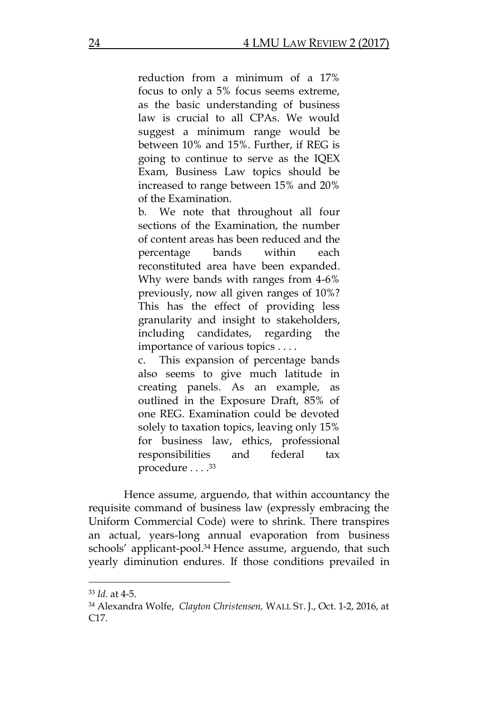reduction from a minimum of a 17% focus to only a 5% focus seems extreme, as the basic understanding of business law is crucial to all CPAs. We would suggest a minimum range would be between 10% and 15%. Further, if REG is going to continue to serve as the IQEX Exam, Business Law topics should be increased to range between 15% and 20% of the Examination.

b. We note that throughout all four sections of the Examination, the number of content areas has been reduced and the percentage bands within each reconstituted area have been expanded. Why were bands with ranges from 4-6% previously, now all given ranges of 10%? This has the effect of providing less granularity and insight to stakeholders, including candidates, regarding the importance of various topics . . . .

c. This expansion of percentage bands also seems to give much latitude in creating panels. As an example, as outlined in the Exposure Draft, 85% of one REG. Examination could be devoted solely to taxation topics, leaving only 15% for business law, ethics, professional responsibilities and federal tax procedure . . . . 33

Hence assume, arguendo, that within accountancy the requisite command of business law (expressly embracing the Uniform Commercial Code) were to shrink. There transpires an actual, years-long annual evaporation from business schools' applicant-pool. <sup>34</sup> Hence assume, arguendo, that such yearly diminution endures. If those conditions prevailed in

l

<sup>33</sup> *Id*. at 4-5.

<sup>34</sup> Alexandra Wolfe, *Clayton Christensen,* WALL ST. J., Oct. 1-2, 2016, at C17.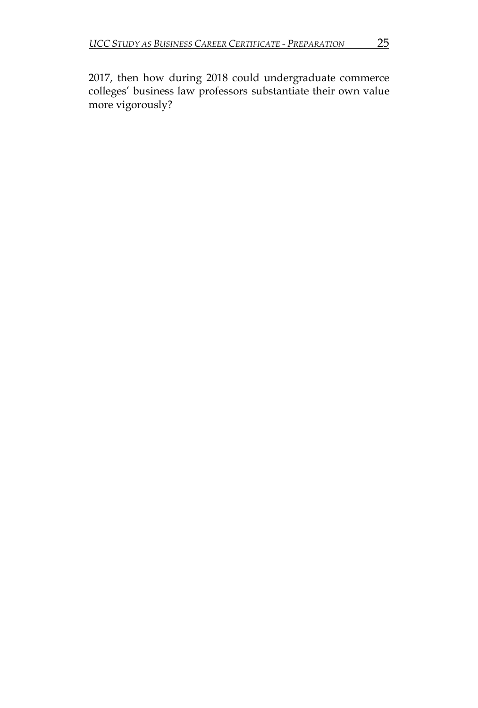2017, then how during 2018 could undergraduate commerce colleges' business law professors substantiate their own value more vigorously?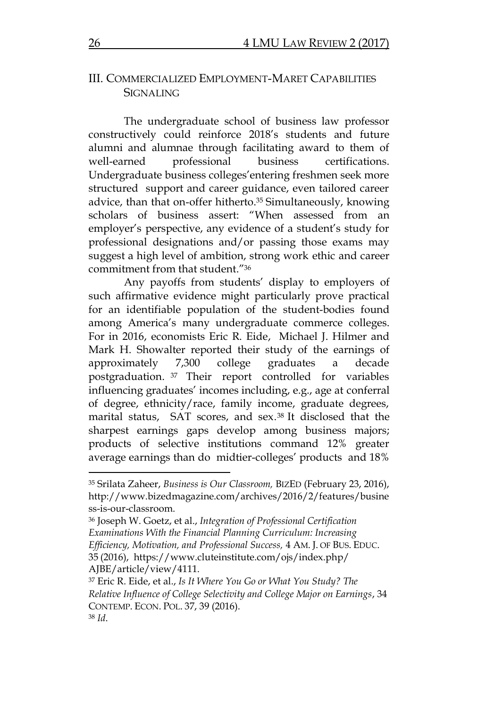### III. COMMERCIALIZED EMPLOYMENT-MARET CAPABILITIES **SIGNALING**

The undergraduate school of business law professor constructively could reinforce 2018's students and future alumni and alumnae through facilitating award to them of well-earned professional business certifications. Undergraduate business colleges'entering freshmen seek more structured support and career guidance, even tailored career advice, than that on-offer hitherto. <sup>35</sup> Simultaneously, knowing scholars of business assert: "When assessed from an employer's perspective, any evidence of a student's study for professional designations and/or passing those exams may suggest a high level of ambition, strong work ethic and career commitment from that student."<sup>36</sup>

Any payoffs from students' display to employers of such affirmative evidence might particularly prove practical for an identifiable population of the student-bodies found among America's many undergraduate commerce colleges. For in 2016, economists Eric R. Eide, Michael J. Hilmer and Mark H. Showalter reported their study of the earnings of approximately 7,300 college graduates a decade postgraduation. <sup>37</sup> Their report controlled for variables influencing graduates' incomes including, e.g., age at conferral of degree, ethnicity/race, family income, graduate degrees, marital status, SAT scores, and sex. <sup>38</sup> It disclosed that the sharpest earnings gaps develop among business majors; products of selective institutions command 12% greater average earnings than do midtier-colleges' products and 18%

<sup>35</sup> Srilata Zaheer, *Business is Our Classroom,* BIZED (February 23, 2016), http://www.bizedmagazine.com/archives/2016/2/features/busine ss-is-our-classroom.

<sup>36</sup> Joseph W. Goetz, et al., *Integration of Professional Certification Examinations With the Financial Planning Curriculum: Increasing Efficiency, Motivation, and Professional Success,* 4 AM. J. OF BUS. EDUC. 35 (2016), https://www.cluteinstitute.com/ojs/index.php/ AJBE/article/view/4111.

<sup>37</sup> Eric R. Eide, et al., *Is It Where You Go or What You Study? The Relative Influence of College Selectivity and College Major on Earnings*, 34 CONTEMP. ECON. POL. 37, 39 (2016). <sup>38</sup> *Id*.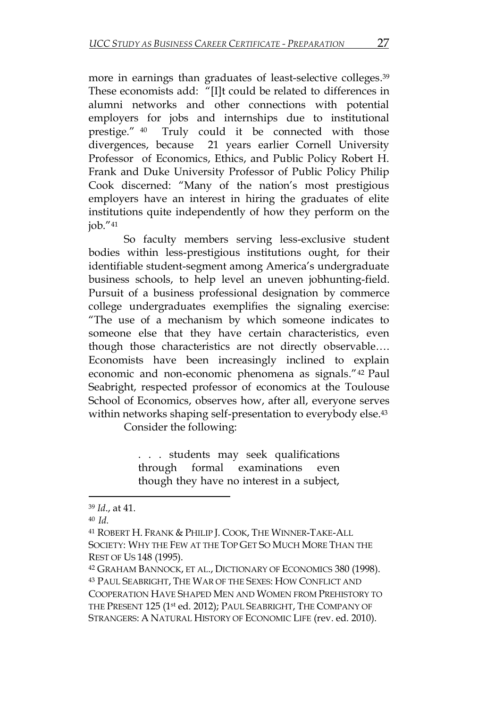more in earnings than graduates of least-selective colleges. 39 These economists add: "[I]t could be related to differences in alumni networks and other connections with potential employers for jobs and internships due to institutional prestige." 40 Truly could it be connected with those divergences, because 21 years earlier Cornell University Professor of Economics, Ethics, and Public Policy Robert H. Frank and Duke University Professor of Public Policy Philip Cook discerned: "Many of the nation's most prestigious employers have an interest in hiring the graduates of elite institutions quite independently of how they perform on the job."<sup>41</sup>

So faculty members serving less-exclusive student bodies within less-prestigious institutions ought, for their identifiable student-segment among America's undergraduate business schools, to help level an uneven jobhunting-field. Pursuit of a business professional designation by commerce college undergraduates exemplifies the signaling exercise: "The use of a mechanism by which someone indicates to someone else that they have certain characteristics, even though those characteristics are not directly observable…. Economists have been increasingly inclined to explain economic and non-economic phenomena as signals."<sup>42</sup> Paul Seabright, respected professor of economics at the Toulouse School of Economics, observes how, after all, everyone serves within networks shaping self-presentation to everybody else. 43

Consider the following:

. . . students may seek qualifications through formal examinations even though they have no interest in a subject,

l

<sup>39</sup> *Id*., at 41.

<sup>40</sup>*Id.*

<sup>41</sup> ROBERT H.FRANK & PHILIP J. COOK, THE WINNER-TAKE-ALL SOCIETY: WHY THE FEW AT THE TOP GET SO MUCH MORE THAN THE REST OF US 148 (1995).

<sup>42</sup> GRAHAM BANNOCK, ET AL., DICTIONARY OF ECONOMICS 380 (1998). <sup>43</sup> PAUL SEABRIGHT, THE WAR OF THE SEXES: HOW CONFLICT AND COOPERATION HAVE SHAPED MEN AND WOMEN FROM PREHISTORY TO THE PRESENT 125 (1st ed. 2012); PAUL SEABRIGHT, THE COMPANY OF STRANGERS: A NATURAL HISTORY OF ECONOMIC LIFE (rev. ed. 2010).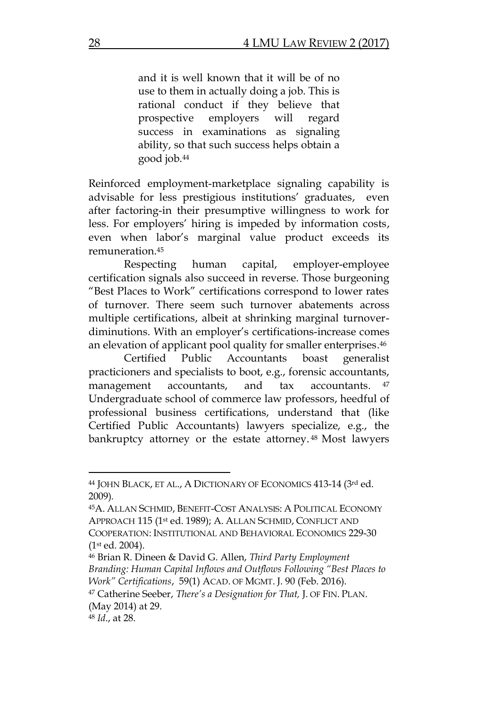and it is well known that it will be of no use to them in actually doing a job. This is rational conduct if they believe that prospective employers will regard success in examinations as signaling ability, so that such success helps obtain a good job. 44

Reinforced employment-marketplace signaling capability is advisable for less prestigious institutions' graduates, even after factoring-in their presumptive willingness to work for less. For employers' hiring is impeded by information costs, even when labor's marginal value product exceeds its remuneration. 45

Respecting human capital, employer-employee certification signals also succeed in reverse. Those burgeoning "Best Places to Work" certifications correspond to lower rates of turnover. There seem such turnover abatements across multiple certifications, albeit at shrinking marginal turnoverdiminutions. With an employer's certifications-increase comes an elevation of applicant pool quality for smaller enterprises. 46

Certified Public Accountants boast generalist practicioners and specialists to boot, e.g., forensic accountants, management accountants, and tax accountants. 47 Undergraduate school of commerce law professors, heedful of professional business certifications, understand that (like Certified Public Accountants) lawyers specialize, e.g., the bankruptcy attorney or the estate attorney. <sup>48</sup> Most lawyers

<sup>44</sup> JOHN BLACK, ET AL., A DICTIONARY OF ECONOMICS 413-14 (3rd ed. 2009)*.*

<sup>45</sup>A. ALLAN SCHMID, BENEFIT-COST ANALYSIS: A POLITICAL ECONOMY APPROACH 115 (1st ed. 1989); A. ALLAN SCHMID, CONFLICT AND COOPERATION: INSTITUTIONAL AND BEHAVIORAL ECONOMICS 229-30  $(1<sup>st</sup> ed. 2004).$ 

<sup>46</sup> Brian R. Dineen & David G. Allen, *Third Party Employment Branding: Human Capital Inflows and Outflows Following "Best Places to Work" Certifications*, 59(1) ACAD. OF MGMT. J. 90 (Feb. 2016).

<sup>47</sup> Catherine Seeber, *There's a Designation for That,* J. OF FIN. PLAN. (May 2014) at 29.

<sup>48</sup> *Id*., at 28.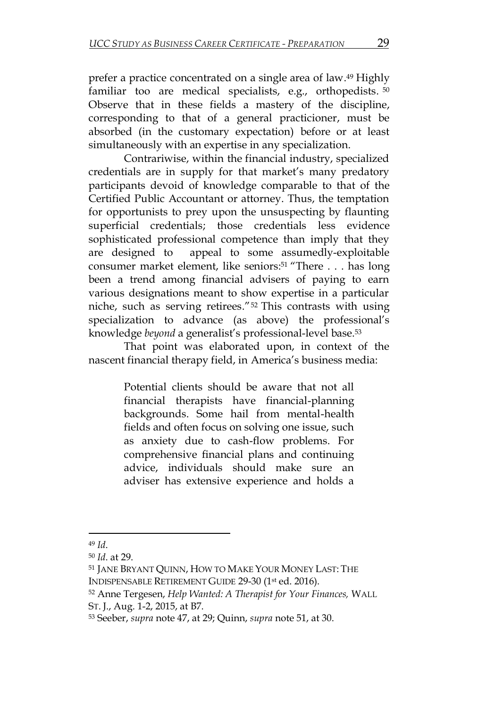prefer a practice concentrated on a single area of law. <sup>49</sup> Highly familiar too are medical specialists, e.g., orthopedists. 50 Observe that in these fields a mastery of the discipline, corresponding to that of a general practicioner, must be absorbed (in the customary expectation) before or at least simultaneously with an expertise in any specialization.

Contrariwise, within the financial industry, specialized credentials are in supply for that market's many predatory participants devoid of knowledge comparable to that of the Certified Public Accountant or attorney. Thus, the temptation for opportunists to prey upon the unsuspecting by flaunting superficial credentials; those credentials less evidence sophisticated professional competence than imply that they are designed to appeal to some assumedly-exploitable consumer market element, like seniors: <sup>51</sup> "There . . . has long been a trend among financial advisers of paying to earn various designations meant to show expertise in a particular niche, such as serving retirees."<sup>52</sup> This contrasts with using specialization to advance (as above) the professional's knowledge *beyond* a generalist's professional-level base. 53

That point was elaborated upon, in context of the nascent financial therapy field, in America's business media:

> Potential clients should be aware that not all financial therapists have financial-planning backgrounds. Some hail from mental-health fields and often focus on solving one issue, such as anxiety due to cash-flow problems. For comprehensive financial plans and continuing advice, individuals should make sure an adviser has extensive experience and holds a

<sup>49</sup> *Id*.

<sup>50</sup> *Id*. at 29.

<sup>51</sup> JANE BRYANT QUINN, HOW TO MAKE YOUR MONEY LAST: THE INDISPENSABLE RETIREMENT GUIDE 29-30 (1st ed. 2016).

<sup>52</sup> Anne Tergesen, *Help Wanted: A Therapist for Your Finances,* WALL ST. J., Aug. 1-2, 2015, at B7.

<sup>53</sup> Seeber, *supra* note 47, at 29; Quinn, *supra* note 51, at 30.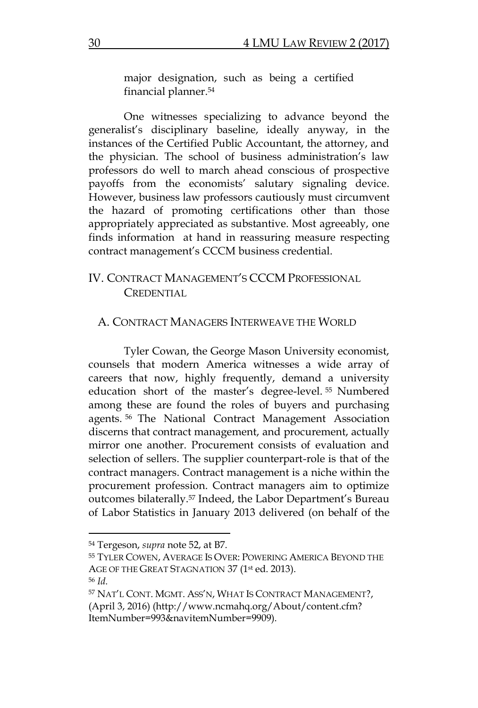major designation, such as being a certified financial planner. 54

One witnesses specializing to advance beyond the generalist's disciplinary baseline, ideally anyway, in the instances of the Certified Public Accountant, the attorney, and the physician. The school of business administration's law professors do well to march ahead conscious of prospective payoffs from the economists' salutary signaling device. However, business law professors cautiously must circumvent the hazard of promoting certifications other than those appropriately appreciated as substantive. Most agreeably, one finds information at hand in reassuring measure respecting contract management's CCCM business credential.

## IV. CONTRACT MANAGEMENT'S CCCM PROFESSIONAL CREDENTIAL

#### A. CONTRACT MANAGERS INTERWEAVE THE WORLD

Tyler Cowan, the George Mason University economist, counsels that modern America witnesses a wide array of careers that now, highly frequently, demand a university education short of the master's degree-level. <sup>55</sup> Numbered among these are found the roles of buyers and purchasing agents. <sup>56</sup> The National Contract Management Association discerns that contract management, and procurement, actually mirror one another. Procurement consists of evaluation and selection of sellers. The supplier counterpart-role is that of the contract managers. Contract management is a niche within the procurement profession. Contract managers aim to optimize outcomes bilaterally. <sup>57</sup> Indeed, the Labor Department's Bureau of Labor Statistics in January 2013 delivered (on behalf of the

<sup>54</sup> Tergeson, *supra* note 52, at B7.

<sup>55</sup> TYLER COWEN, AVERAGE IS OVER: POWERING AMERICA BEYOND THE AGE OF THE GREAT STAGNATION 37 (1st ed. 2013).

<sup>56</sup> *Id.*

<sup>57</sup> NAT'L CONT. MGMT. ASS'N, WHAT IS CONTRACT MANAGEMENT?, (April 3, 2016) (http://www.ncmahq.org/About/content.cfm? ItemNumber=993&navitemNumber=9909).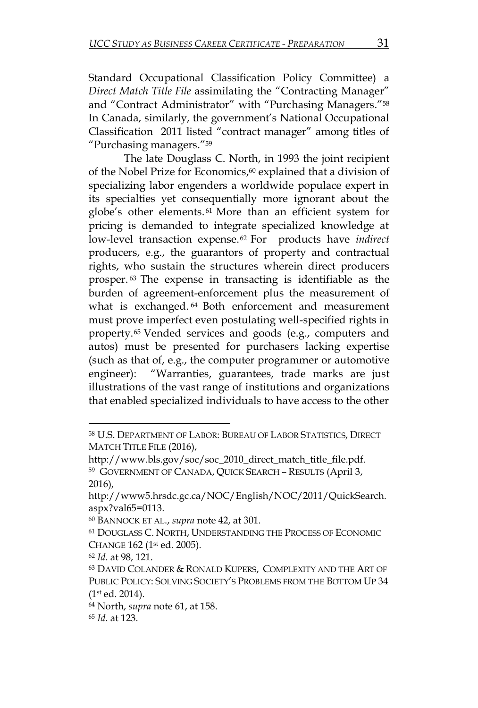Standard Occupational Classification Policy Committee) a *Direct Match Title File* assimilating the "Contracting Manager" and "Contract Administrator" with "Purchasing Managers."<sup>58</sup> In Canada, similarly, the government's National Occupational Classification 2011 listed "contract manager" among titles of "Purchasing managers."<sup>59</sup>

The late Douglass C. North, in 1993 the joint recipient of the Nobel Prize for Economics, <sup>60</sup> explained that a division of specializing labor engenders a worldwide populace expert in its specialties yet consequentially more ignorant about the globe's other elements. <sup>61</sup> More than an efficient system for pricing is demanded to integrate specialized knowledge at low-level transaction expense. <sup>62</sup> For products have *indirect* producers, e.g., the guarantors of property and contractual rights, who sustain the structures wherein direct producers prosper. <sup>63</sup> The expense in transacting is identifiable as the burden of agreement-enforcement plus the measurement of what is exchanged. <sup>64</sup> Both enforcement and measurement must prove imperfect even postulating well-specified rights in property. <sup>65</sup> Vended services and goods (e.g., computers and autos) must be presented for purchasers lacking expertise (such as that of, e.g., the computer programmer or automotive engineer): "Warranties, guarantees, trade marks are just illustrations of the vast range of institutions and organizations that enabled specialized individuals to have access to the other

 $\overline{a}$ 

<sup>64</sup> North, *supra* note 61, at 158.

<sup>65</sup> *Id*. at 123.

<sup>58</sup> U.S. DEPARTMENT OF LABOR: BUREAU OF LABOR STATISTICS, DIRECT MATCH TITLE FILE (2016),

http://www.bls.gov/soc/soc\_2010\_direct\_match\_title\_file.pdf. 59 GOVERNMENT OF CANADA, QUICK SEARCH – RESULTS (April 3, 2016),

http://www5.hrsdc.gc.ca/NOC/English/NOC/2011/QuickSearch. aspx?val65=0113.

<sup>60</sup> BANNOCK ET AL., *supra* note 42, at 301.

<sup>61</sup> DOUGLASS C. NORTH, UNDERSTANDING THE PROCESS OF ECONOMIC CHANGE 162 (1st ed. 2005).

<sup>62</sup> *Id*. at 98, 121.

<sup>63</sup> DAVID COLANDER & RONALD KUPERS, COMPLEXITY AND THE ART OF PUBLIC POLICY: SOLVING SOCIETY'S PROBLEMS FROM THE BOTTOM UP 34 (1st ed. 2014).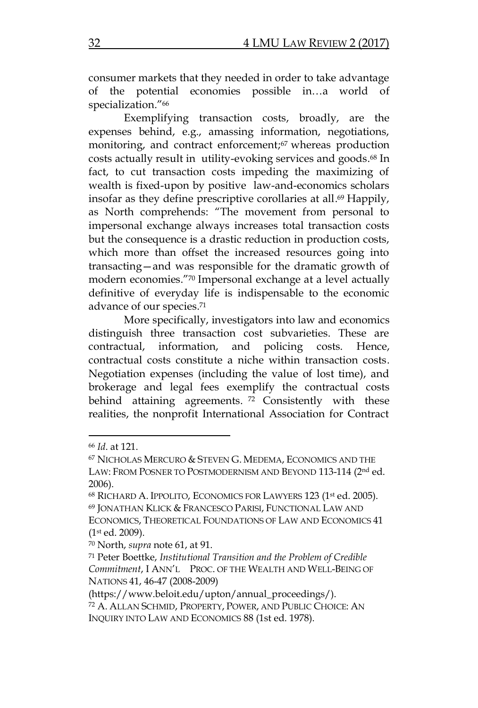consumer markets that they needed in order to take advantage of the potential economies possible in…a world of specialization."<sup>66</sup>

Exemplifying transaction costs, broadly, are the expenses behind, e.g., amassing information, negotiations, monitoring, and contract enforcement; <sup>67</sup> whereas production costs actually result in utility-evoking services and goods. <sup>68</sup> In fact, to cut transaction costs impeding the maximizing of wealth is fixed-upon by positive law-and-economics scholars insofar as they define prescriptive corollaries at all. <sup>69</sup> Happily, as North comprehends: "The movement from personal to impersonal exchange always increases total transaction costs but the consequence is a drastic reduction in production costs, which more than offset the increased resources going into transacting—and was responsible for the dramatic growth of modern economies."<sup>70</sup> Impersonal exchange at a level actually definitive of everyday life is indispensable to the economic advance of our species. 71

More specifically, investigators into law and economics distinguish three transaction cost subvarieties. These are contractual, information, and policing costs. Hence, contractual costs constitute a niche within transaction costs. Negotiation expenses (including the value of lost time), and brokerage and legal fees exemplify the contractual costs behind attaining agreements. <sup>72</sup> Consistently with these realities, the nonprofit International Association for Contract

<sup>66</sup> *Id*. at 121.

<sup>67</sup> NICHOLAS MERCURO & STEVEN G. MEDEMA, ECONOMICS AND THE LAW: FROM POSNER TO POSTMODERNISM AND BEYOND 113-114 (2<sup>nd</sup> ed. 2006).

<sup>68</sup> RICHARD A. IPPOLITO, ECONOMICS FOR LAWYERS 123 (1st ed. 2005). 69 JONATHAN KLICK & FRANCESCO PARISI, FUNCTIONAL LAW AND ECONOMICS, THEORETICAL FOUNDATIONS OF LAW AND ECONOMICS 41 (1st ed. 2009).

<sup>70</sup> North, *supra* note 61, at 91.

<sup>71</sup> Peter Boettke, *Institutional Transition and the Problem of Credible Commitment*, I ANN'L PROC. OF THE WEALTH AND WELL-BEING OF NATIONS 41, 46-47 (2008-2009)

<sup>(</sup>https://www.beloit.edu/upton/annual\_proceedings/). <sup>72</sup> A. ALLAN SCHMID, PROPERTY, POWER, AND PUBLIC CHOICE: AN INQUIRY INTO LAW AND ECONOMICS 88 (1st ed. 1978).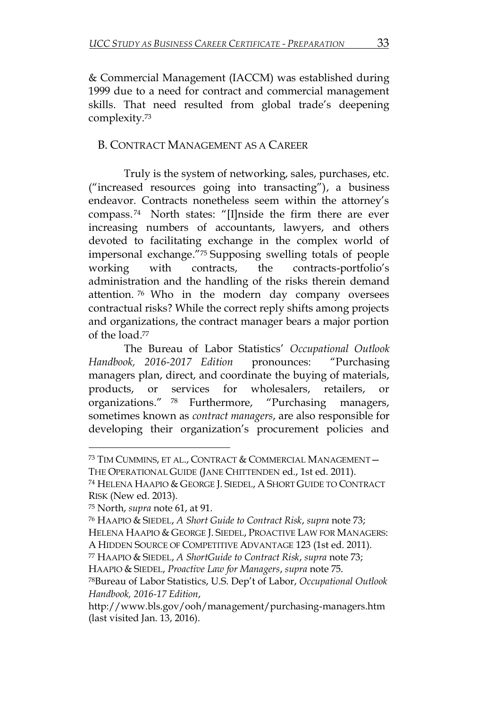& Commercial Management (IACCM) was established during 1999 due to a need for contract and commercial management skills. That need resulted from global trade's deepening complexity. 73

## B. CONTRACT MANAGEMENT AS A CAREER

Truly is the system of networking, sales, purchases, etc. ("increased resources going into transacting"), a business endeavor. Contracts nonetheless seem within the attorney's compass. <sup>74</sup> North states: "[I]nside the firm there are ever increasing numbers of accountants, lawyers, and others devoted to facilitating exchange in the complex world of impersonal exchange."<sup>75</sup> Supposing swelling totals of people working with contracts, the contracts-portfolio's administration and the handling of the risks therein demand attention. <sup>76</sup> Who in the modern day company oversees contractual risks? While the correct reply shifts among projects and organizations, the contract manager bears a major portion of the load. 77

The Bureau of Labor Statistics' *Occupational Outlook Handbook, 2016-2017 Edition* pronounces: "Purchasing managers plan, direct, and coordinate the buying of materials, products, or services for wholesalers, retailers, organizations." <sup>78</sup> Furthermore, "Purchasing managers, sometimes known as *contract managers*, are also responsible for developing their organization's procurement policies and

<sup>73</sup> TIM CUMMINS, ET AL., CONTRACT & COMMERCIAL MANAGEMENT— THE OPERATIONAL GUIDE (JANE CHITTENDEN ed., 1st ed. 2011).

<sup>74</sup> HELENA HAAPIO & GEORGE J. SIEDEL, A SHORT GUIDE TO CONTRACT RISK (New ed. 2013)*.*

<sup>75</sup> North, *supra* note 61, at 91.

<sup>76</sup> HAAPIO & SIEDEL, *A Short Guide to Contract Risk*, *supra* note 73; HELENA HAAPIO & GEORGE J. SIEDEL, PROACTIVE LAW FOR MANAGERS: A HIDDEN SOURCE OF COMPETITIVE ADVANTAGE 123 (1st ed. 2011).

<sup>77</sup> HAAPIO & SIEDEL, *A ShortGuide to Contract Risk*, *supra* note 73;

HAAPIO & SIEDEL, *Proactive Law for Managers*, *supra* note 75.

<sup>78</sup>Bureau of Labor Statistics, U.S. Dep't of Labor, *Occupational Outlook Handbook, 2016-17 Edition*,

http://www.bls.gov/ooh/management/purchasing-managers.htm (last visited Jan. 13, 2016).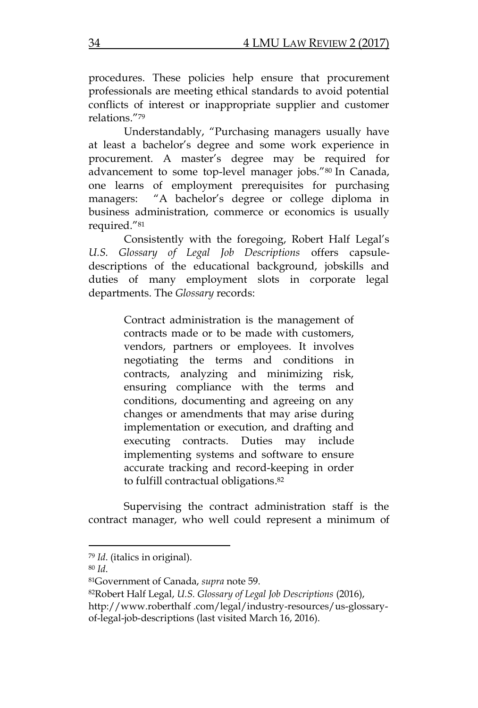procedures. These policies help ensure that procurement professionals are meeting ethical standards to avoid potential conflicts of interest or inappropriate supplier and customer relations."<sup>79</sup>

Understandably, "Purchasing managers usually have at least a bachelor's degree and some work experience in procurement. A master's degree may be required for advancement to some top-level manager jobs."<sup>80</sup> In Canada, one learns of employment prerequisites for purchasing managers: "A bachelor's degree or college diploma in business administration, commerce or economics is usually required."<sup>81</sup>

Consistently with the foregoing, Robert Half Legal's *U.S. Glossary of Legal Job Descriptions* offers capsuledescriptions of the educational background, jobskills and duties of many employment slots in corporate legal departments. The *Glossary* records:

> Contract administration is the management of contracts made or to be made with customers, vendors, partners or employees. It involves negotiating the terms and conditions in contracts, analyzing and minimizing risk, ensuring compliance with the terms and conditions, documenting and agreeing on any changes or amendments that may arise during implementation or execution, and drafting and executing contracts. Duties may include implementing systems and software to ensure accurate tracking and record-keeping in order to fulfill contractual obligations. 82

Supervising the contract administration staff is the contract manager, who well could represent a minimum of

 $\overline{\phantom{0}}$ 

<sup>79</sup> *Id*. (italics in original).

<sup>80</sup> *Id*.

<sup>81</sup>Government of Canada, *supra* note 59.

<sup>82</sup>Robert Half Legal, *U.S. Glossary of Legal Job Descriptions* (2016), http://www.roberthalf .com/legal/industry-resources/us-glossaryof-legal-job-descriptions (last visited March 16, 2016).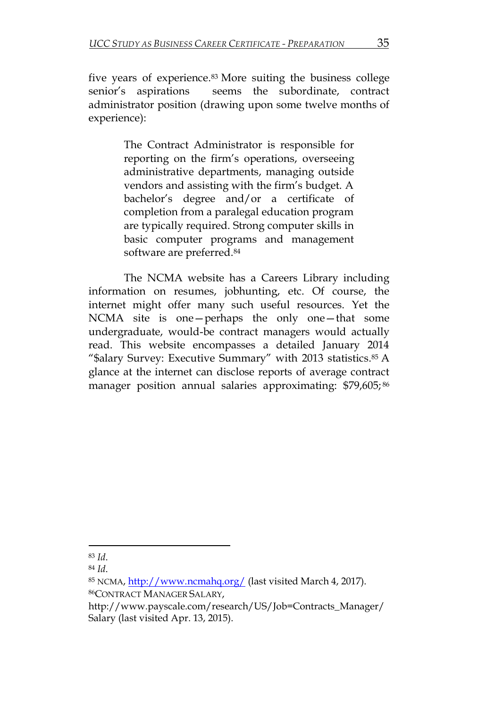five years of experience. <sup>83</sup> More suiting the business college senior's aspirations seems the subordinate, contract administrator position (drawing upon some twelve months of experience):

> The Contract Administrator is responsible for reporting on the firm's operations, overseeing administrative departments, managing outside vendors and assisting with the firm's budget. A bachelor's degree and/or a certificate of completion from a paralegal education program are typically required. Strong computer skills in basic computer programs and management software are preferred. 84

The NCMA website has a Careers Library including information on resumes, jobhunting, etc. Of course, the internet might offer many such useful resources. Yet the NCMA site is one—perhaps the only one—that some undergraduate, would-be contract managers would actually read. This website encompasses a detailed January 2014 "\$alary Survey: Executive Summary" with 2013 statistics.<sup>85</sup> A glance at the internet can disclose reports of average contract manager position annual salaries approximating: \$79,605; 86

 $\overline{\phantom{0}}$ 

<sup>83</sup> *Id*.

<sup>84</sup> *Id*.

<sup>85</sup> NCMA,<http://www.ncmahq.org/> (last visited March 4, 2017). <sup>86</sup>CONTRACT MANAGER SALARY,

http://www.payscale.com/research/US/Job=Contracts\_Manager/ Salary (last visited Apr. 13, 2015).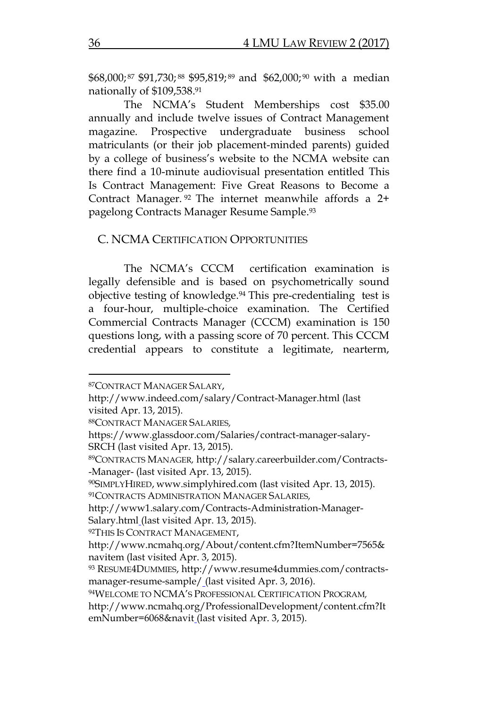\$68,000; <sup>87</sup> \$91,730; <sup>88</sup> \$95,819; <sup>89</sup> and \$62,000; <sup>90</sup> with a median nationally of \$109,538. 91

The NCMA's Student Memberships cost \$35.00 annually and include twelve issues of Contract Management magazine. Prospective undergraduate business school matriculants (or their job placement-minded parents) guided by a college of business's website to the NCMA website can there find a 10-minute audiovisual presentation entitled This Is Contract Management: Five Great Reasons to Become a Contract Manager. <sup>92</sup> The internet meanwhile affords a 2+ pagelong Contracts Manager Resume Sample. 93

#### C. NCMA CERTIFICATION OPPORTUNITIES

The NCMA's CCCM certification examination is legally defensible and is based on psychometrically sound objective testing of knowledge. <sup>94</sup> This pre-credentialing test is a four-hour, multiple-choice examination. The Certified Commercial Contracts Manager (CCCM) examination is 150 questions long, with a passing score of 70 percent. This CCCM credential appears to constitute a legitimate, nearterm,

<sup>87</sup>CONTRACT MANAGER SALARY,

http://www.indeed.com/salary/Contract-Manager.html (last visited Apr. 13, 2015).

<sup>88</sup>CONTRACT MANAGER SALARIES*,*

https://www.glassdoor.com/Salaries/contract-manager-salary-SRCH (last visited Apr. 13, 2015).

<sup>89</sup>CONTRACTS MANAGER*,* http://salary.careerbuilder.com/Contracts- -Manager- (last visited Apr. 13, 2015).

<sup>90</sup>SIMPLYHIRED,www.simplyhired.com (last visited Apr. 13, 2015). <sup>91</sup>CONTRACTS ADMINISTRATION MANAGER SALARIES*,* 

http://www1.salary.com/Contracts-Administration-Manager-Salary.html\_(last visited Apr. 13, 2015).

<sup>92</sup>THIS IS CONTRACT MANAGEMENT,

http://www.ncmahq.org/About/content.cfm?ItemNumber=7565& navitem (last visited Apr. 3, 2015).

<sup>93</sup> RESUME4DUMMIES, http://www.resume4dummies.com/contractsmanager-resume-sample/ (last visited Apr. 3, 2016).

<sup>94</sup>WELCOME TO NCMA'S PROFESSIONAL CERTIFICATION PROGRAM*,* 

http://www.ncmahq.org/ProfessionalDevelopment/content.cfm?It emNumber=6068&navit (last visited Apr. 3, 2015).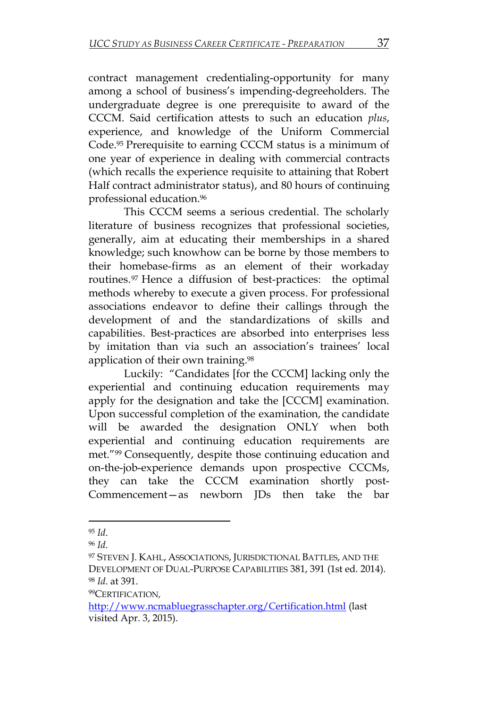contract management credentialing-opportunity for many among a school of business's impending-degreeholders. The undergraduate degree is one prerequisite to award of the CCCM. Said certification attests to such an education *plus*, experience, and knowledge of the Uniform Commercial Code. <sup>95</sup> Prerequisite to earning CCCM status is a minimum of one year of experience in dealing with commercial contracts (which recalls the experience requisite to attaining that Robert Half contract administrator status), and 80 hours of continuing professional education.<sup>96</sup>

This CCCM seems a serious credential. The scholarly literature of business recognizes that professional societies, generally, aim at educating their memberships in a shared knowledge; such knowhow can be borne by those members to their homebase-firms as an element of their workaday routines. <sup>97</sup> Hence a diffusion of best-practices: the optimal methods whereby to execute a given process. For professional associations endeavor to define their callings through the development of and the standardizations of skills and capabilities. Best-practices are absorbed into enterprises less by imitation than via such an association's trainees' local application of their own training. 98

Luckily: "Candidates [for the CCCM] lacking only the experiential and continuing education requirements may apply for the designation and take the [CCCM] examination. Upon successful completion of the examination, the candidate will be awarded the designation ONLY when both experiential and continuing education requirements are met."<sup>99</sup> Consequently, despite those continuing education and on-the-job-experience demands upon prospective CCCMs, they can take the CCCM examination shortly post-Commencement—as newborn JDs then take the bar

 $\overline{a}$ <sup>95</sup> *Id*.

<sup>96</sup> *Id*.

<sup>97</sup> STEVEN J. KAHL, ASSOCIATIONS, JURISDICTIONAL BATTLES, AND THE DEVELOPMENT OF DUAL-PURPOSE CAPABILITIES 381, 391 (1st ed. 2014). <sup>98</sup> *Id*. at 391.

<sup>99</sup>CERTIFICATION*,*

<http://www.ncmabluegrasschapter.org/Certification.html> (last visited Apr. 3, 2015).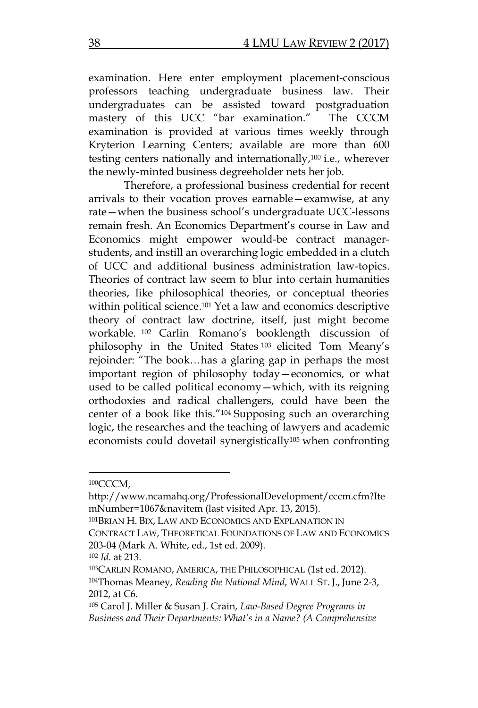examination. Here enter employment placement-conscious professors teaching undergraduate business law. Their undergraduates can be assisted toward postgraduation mastery of this UCC "bar examination." The CCCM examination is provided at various times weekly through Kryterion Learning Centers; available are more than 600 testing centers nationally and internationally, <sup>100</sup> i.e., wherever the newly-minted business degreeholder nets her job.

Therefore, a professional business credential for recent arrivals to their vocation proves earnable—examwise, at any rate—when the business school's undergraduate UCC-lessons remain fresh. An Economics Department's course in Law and Economics might empower would-be contract managerstudents, and instill an overarching logic embedded in a clutch of UCC and additional business administration law-topics. Theories of contract law seem to blur into certain humanities theories, like philosophical theories, or conceptual theories within political science. <sup>101</sup> Yet a law and economics descriptive theory of contract law doctrine, itself, just might become workable. <sup>102</sup> Carlin Romano's booklength discussion of philosophy in the United States <sup>103</sup> elicited Tom Meany's rejoinder: "The book…has a glaring gap in perhaps the most important region of philosophy today—economics, or what used to be called political economy—which, with its reigning orthodoxies and radical challengers, could have been the center of a book like this."<sup>104</sup> Supposing such an overarching logic, the researches and the teaching of lawyers and academic economists could dovetail synergistically<sup>105</sup> when confronting

<sup>100</sup>CCCM,

http://www.ncamahq.org/ProfessionalDevelopment/cccm.cfm?Ite mNumber=1067&navitem (last visited Apr. 13, 2015).

<sup>101</sup>BRIAN H. BIX, LAW AND ECONOMICS AND EXPLANATION IN

CONTRACT LAW, THEORETICAL FOUNDATIONS OF LAW AND ECONOMICS 203-04 (Mark A. White, ed., 1st ed. 2009).

<sup>102</sup> *Id.* at 213.

<sup>103</sup>CARLIN ROMANO, AMERICA, THE PHILOSOPHICAL (1st ed. 2012). <sup>104</sup>Thomas Meaney, *Reading the National Mind*, WALL ST. J., June 2-3, 2012, at C6.

<sup>105</sup> Carol J. Miller & Susan J. Crain, *Law-Based Degree Programs in Business and Their Departments: What's in a Name? (A Comprehensive*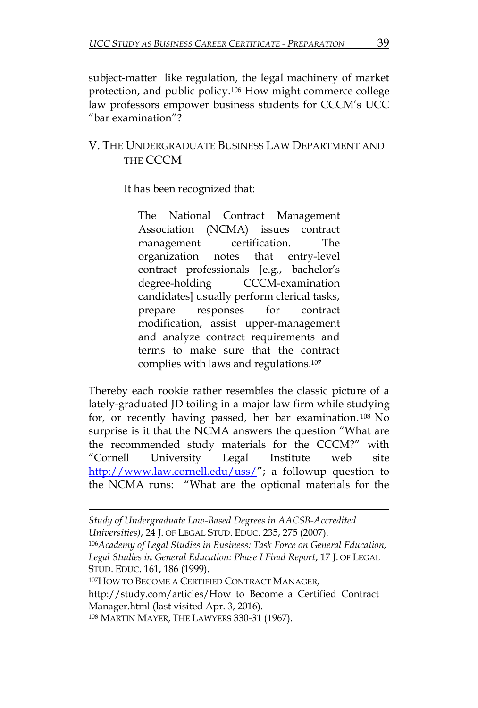subject-matter like regulation, the legal machinery of market protection, and public policy. <sup>106</sup> How might commerce college law professors empower business students for CCCM's UCC "bar examination"?

## V. THE UNDERGRADUATE BUSINESS LAW DEPARTMENT AND THE CCCM

It has been recognized that:

The National Contract Management Association (NCMA) issues contract management certification. The organization notes that entry-level contract professionals [e.g., bachelor's degree-holding CCCM-examination candidates] usually perform clerical tasks, prepare responses for contract modification, assist upper-management and analyze contract requirements and terms to make sure that the contract complies with laws and regulations. 107

Thereby each rookie rather resembles the classic picture of a lately-graduated JD toiling in a major law firm while studying for, or recently having passed, her bar examination. <sup>108</sup> No surprise is it that the NCMA answers the question "What are the recommended study materials for the CCCM?" with "Cornell University Legal Institute web site <http://www.law.cornell.edu/uss/>"; a followup question to the NCMA runs: "What are the optional materials for the

*Study of Undergraduate Law-Based Degrees in AACSB-Accredited Universities)*, 24 J. OF LEGAL STUD. EDUC. 235, 275 (2007). <sup>106</sup>*Academy of Legal Studies in Business: Task Force on General Education, Legal Studies in General Education: Phase I Final Report*, 17 J. OF LEGAL

STUD. EDUC. 161, 186 (1999).

 $\overline{a}$ 

<sup>107</sup>HOW TO BECOME A CERTIFIED CONTRACT MANAGER*,* 

http://study.com/articles/How\_to\_Become\_a\_Certified\_Contract\_ Manager.html (last visited Apr. 3, 2016).

<sup>108</sup> MARTIN MAYER, THE LAWYERS 330-31 (1967).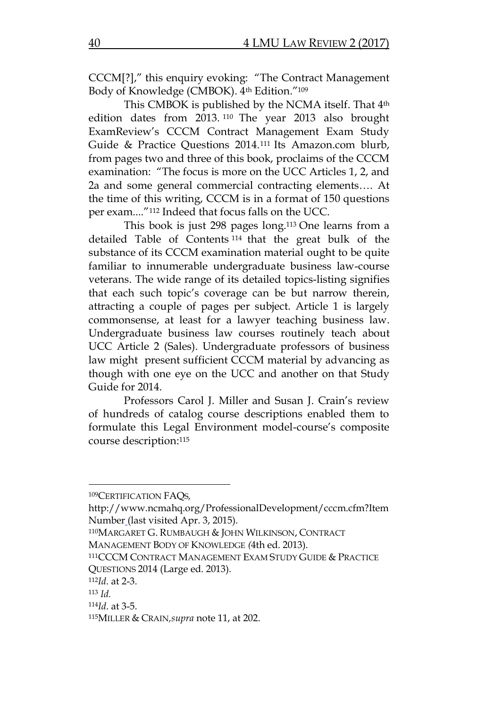CCCM[?]," this enquiry evoking: "The Contract Management Body of Knowledge (CMBOK).  $4<sup>th</sup> Edition."109$ 

This CMBOK is published by the NCMA itself. That 4th edition dates from 2013. <sup>110</sup> The year 2013 also brought ExamReview's CCCM Contract Management Exam Study Guide & Practice Questions 2014. <sup>111</sup> Its Amazon.com blurb, from pages two and three of this book, proclaims of the CCCM examination: "The focus is more on the UCC Articles 1, 2, and 2a and some general commercial contracting elements…. At the time of this writing, CCCM is in a format of 150 questions per exam...."<sup>112</sup> Indeed that focus falls on the UCC.

This book is just 298 pages long.<sup>113</sup> One learns from a detailed Table of Contents <sup>114</sup> that the great bulk of the substance of its CCCM examination material ought to be quite familiar to innumerable undergraduate business law-course veterans. The wide range of its detailed topics-listing signifies that each such topic's coverage can be but narrow therein, attracting a couple of pages per subject. Article 1 is largely commonsense, at least for a lawyer teaching business law. Undergraduate business law courses routinely teach about UCC Article 2 (Sales). Undergraduate professors of business law might present sufficient CCCM material by advancing as though with one eye on the UCC and another on that Study Guide for 2014.

Professors Carol J. Miller and Susan J. Crain's review of hundreds of catalog course descriptions enabled them to formulate this Legal Environment model-course's composite course description: 115

<sup>109</sup>CERTIFICATION FAQS*,* 

http://www.ncmahq.org/ProfessionalDevelopment/cccm.cfm?Item Number (last visited Apr. 3, 2015).

<sup>110</sup>MARGARET G. RUMBAUGH & JOHN WILKINSON, CONTRACT MANAGEMENT BODY OF KNOWLEDGE *(*4th ed. 2013).

<sup>111</sup>CCCM CONTRACT MANAGEMENT EXAM STUDY GUIDE & PRACTICE QUESTIONS 2014 (Large ed. 2013).

<sup>112</sup>*Id*. at 2-3.

<sup>113</sup> *Id.*

<sup>114</sup>*Id*. at 3-5.

<sup>115</sup>MILLER & CRAIN*,supra* note 11, at 202.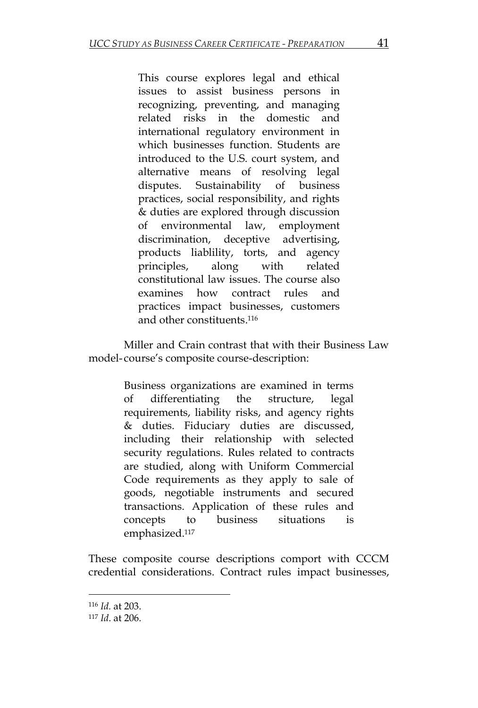This course explores legal and ethical issues to assist business persons in recognizing, preventing, and managing related risks in the domestic and international regulatory environment in which businesses function. Students are introduced to the U.S. court system, and alternative means of resolving legal disputes. Sustainability of business practices, social responsibility, and rights & duties are explored through discussion of environmental law, employment discrimination, deceptive advertising, products liablility, torts, and agency principles, along with related constitutional law issues. The course also examines how contract rules and practices impact businesses, customers and other constituents. 116

Miller and Crain contrast that with their Business Law model- course's composite course-description:

> Business organizations are examined in terms of differentiating the structure, legal requirements, liability risks, and agency rights & duties. Fiduciary duties are discussed, including their relationship with selected security regulations. Rules related to contracts are studied, along with Uniform Commercial Code requirements as they apply to sale of goods, negotiable instruments and secured transactions. Application of these rules and concepts to business situations is emphasized.<sup>117</sup>

These composite course descriptions comport with CCCM credential considerations. Contract rules impact businesses,

<sup>116</sup> *Id.* at 203.

<sup>117</sup> *Id*. at 206.